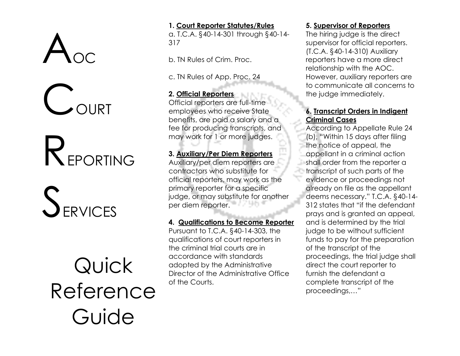## $A_{\text{oc}}$

**COURT** 

## REPORTING

## SERVICES

Quick Reference Guide

#### **1. Court Reporter Statutes/Rules**

a. T.C.A. §40-14-301 through §40-14- 317

b. TN Rules of Crim. Proc.

c. TN Rules of App. Proc. 24

### **2. Official Reporters**

Official reporters are full-time employees who receive State benefits, are paid a salary and a fee for producing transcripts, and may work for 1 or more judges.

#### **3. Auxiliary/Per Diem Reporters**

Auxiliary/per diem reporters are contractors who substitute for official reporters, may work as the primary reporter for a specific judge, or may substitute for another per diem reporter.

#### **4. Qualifications to Become Reporter**

Pursuant to T.C.A. §40-14-303, the qualifications of court reporters in the criminal trial courts are in accordance with standards adopted by the Administrative Director of the Administrative Office of the Courts.

#### **5. Supervisor of Reporters**

The hiring judge is the direct supervisor for official reporters. (T.C.A. §40-14-310) Auxiliary reporters have a more direct relationship with the AOC. However, auxiliary reporters are to communicate all concerns to the judge immediately.

### **6. Transcript Orders in Indigent Criminal Cases**

According to Appellate Rule 24 (b), "Within 15 days after filing the notice of appeal, the appellant in a criminal action shall order from the reporter a transcript of such parts of the evidence or proceedings not already on file as the appellant deems necessary." T.C.A. §40-14- 312 states that "if the defendant prays and is granted an appeal, and is determined by the trial judge to be without sufficient funds to pay for the preparation of the transcript of the proceedings, the trial judge shall direct the court reporter to furnish the defendant a complete transcript of the proceedings,…"